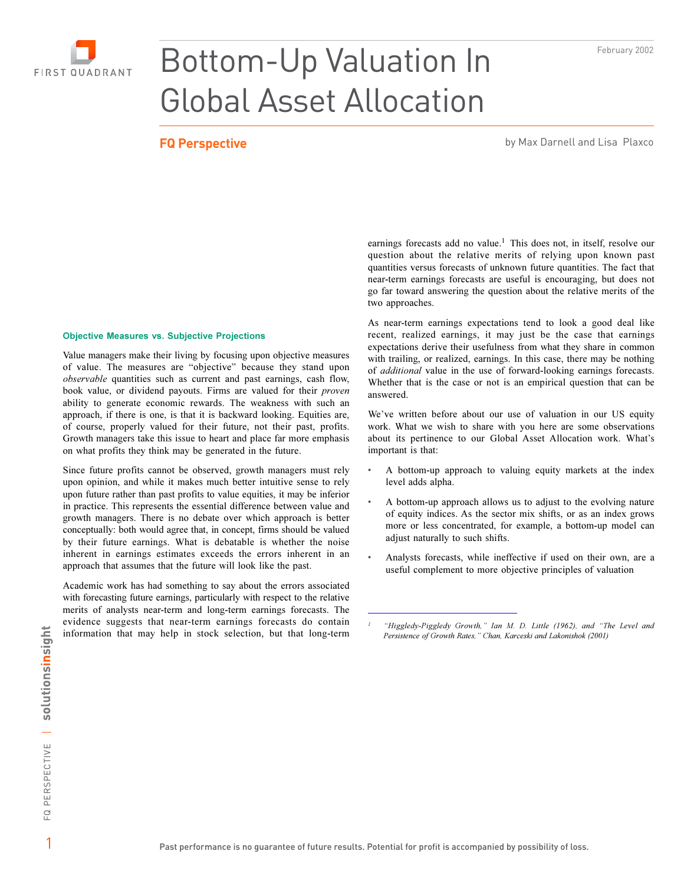



# Bottom-Up Valuation In Global Asset Allocation

**FQ Perspective by Max Darnell and Lisa Plaxco** by Max Darnell and Lisa Plaxco

#### **Objective Measures vs. Subjective Projections**

Value managers make their living by focusing upon objective measures of value. The measures are "objective" because they stand upon *observable* quantities such as current and past earnings, cash flow, book value, or dividend payouts. Firms are valued for their proven ability to generate economic rewards. The weakness with such an approach, if there is one, is that it is backward looking. Equities are, of course, properly valued for their future, not their past, profits. Growth managers take this issue to heart and place far more emphasis on what profits they think may be generated in the future.

Since future profits cannot be observed, growth managers must rely upon opinion, and while it makes much better intuitive sense to rely upon future rather than past profits to value equities, it may be inferior in practice. This represents the essential difference between value and growth managers. There is no debate over which approach is better conceptually: both would agree that, in concept, firms should be valued by their future earnings. What is debatable is whether the noise inherent in earnings estimates exceeds the errors inherent in an approach that assumes that the future will look like the past.

Academic work has had something to say about the errors associated with forecasting future earnings, particularly with respect to the relative merits of analysts near-term and long-term earnings forecasts. The evidence suggests that near-term earnings forecasts do contain information that may help in stock selection, but that long-term

earnings forecasts add no value.<sup>1</sup> This does not, in itself, resolve our question about the relative merits of relying upon known past quantities versus forecasts of unknown future quantities. The fact that near-term earnings forecasts are useful is encouraging, but does not go far toward answering the question about the relative merits of the two approaches.

As near-term earnings expectations tend to look a good deal like recent, realized earnings, it may just be the case that earnings expectations derive their usefulness from what they share in common with trailing, or realized, earnings. In this case, there may be nothing of *additional* value in the use of forward-looking earnings forecasts. Whether that is the case or not is an empirical question that can be answered.

We've written before about our use of valuation in our US equity work. What we wish to share with you here are some observations about its pertinence to our Global Asset Allocation work. What's important is that:

- A bottom-up approach to valuing equity markets at the index level adds alpha.
- A bottom-up approach allows us to adjust to the evolving nature of equity indices. As the sector mix shifts, or as an index grows more or less concentrated, for example, a bottom-up model can adjust naturally to such shifts.
- Analysts forecasts, while ineffective if used on their own, are a useful complement to more objective principles of valuation

*-*

*l* "Higgledy-Piggledy Growth," Ian M. D. Little (1962), and "The Level and Persistence of Growth Rates," Chan, Karceski and Lakonishok (2001)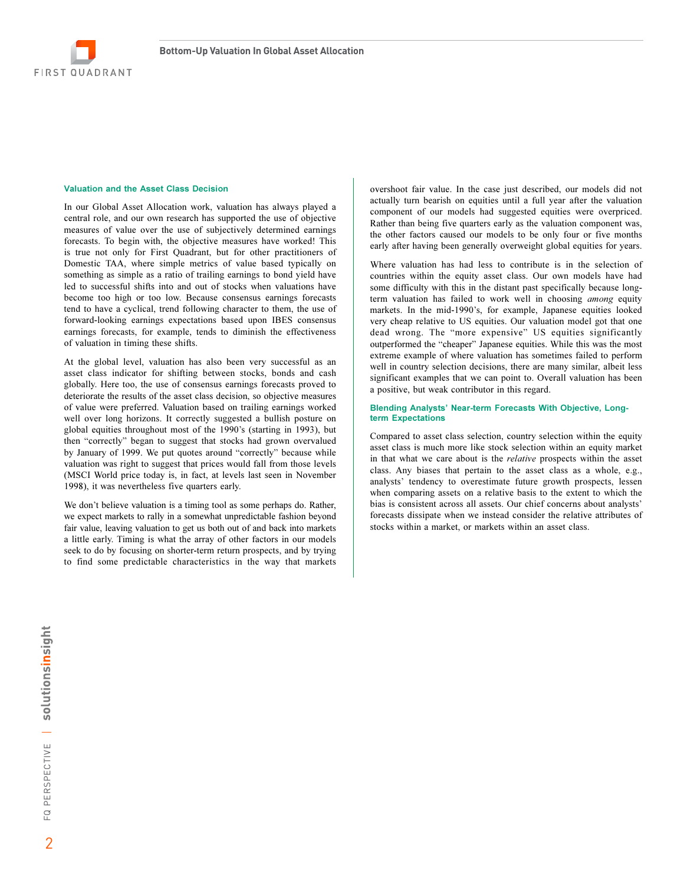

### Valuation and the Asset Class Decision

In our Global Asset Allocation work, valuation has always played a central role, and our own research has supported the use of objective measures of value over the use of subjectively determined earnings forecasts. To begin with, the objective measures have worked! This is true not only for First Quadrant, but for other practitioners of Domestic TAA, where simple metrics of value based typically on something as simple as a ratio of trailing earnings to bond yield have led to successful shifts into and out of stocks when valuations have become too high or too low. Because consensus earnings forecasts tend to have a cyclical, trend following character to them, the use of forward-looking earnings expectations based upon IBES consensus earnings forecasts, for example, tends to diminish the effectiveness of valuation in timing these shifts.

At the global level, valuation has also been very successful as an asset class indicator for shifting between stocks, bonds and cash globally. Here too, the use of consensus earnings forecasts proved to deteriorate the results of the asset class decision, so objective measures of value were preferred. Valuation based on trailing earnings worked well over long horizons. It correctly suggested a bullish posture on global equities throughout most of the 1990's (starting in 1993), but then "correctly" began to suggest that stocks had grown overvalued by January of 1999. We put quotes around "correctly" because while valuation was right to suggest that prices would fall from those levels (MSCI World price today is, in fact, at levels last seen in November 1998), it was nevertheless five quarters early.

We don't believe valuation is a timing tool as some perhaps do. Rather, we expect markets to rally in a somewhat unpredictable fashion beyond fair value, leaving valuation to get us both out of and back into markets a little early. Timing is what the array of other factors in our models seek to do by focusing on shorter-term return prospects, and by trying to find some predictable characteristics in the way that markets

overshoot fair value. In the case just described, our models did not actually turn bearish on equities until a full year after the valuation component of our models had suggested equities were overpriced. Rather than being five quarters early as the valuation component was, the other factors caused our models to be only four or five months early after having been generally overweight global equities for years.

Where valuation has had less to contribute is in the selection of countries within the equity asset class. Our own models have had some difficulty with this in the distant past specifically because longterm valuation has failed to work well in choosing among equity markets. In the mid-1990's, for example, Japanese equities looked very cheap relative to US equities. Our valuation model got that one dead wrong. The "more expensive" US equities significantly outperformed the "cheaper" Japanese equities. While this was the most extreme example of where valuation has sometimes failed to perform well in country selection decisions, there are many similar, albeit less significant examples that we can point to. Overall valuation has been a positive, but weak contributor in this regard.

#### Blending Analysts' Near-term Forecasts With Objective, Longterm Expectations

Compared to asset class selection, country selection within the equity asset class is much more like stock selection within an equity market in that what we care about is the relative prospects within the asset class. Any biases that pertain to the asset class as a whole, e.g., analysts' tendency to overestimate future growth prospects, lessen when comparing assets on a relative basis to the extent to which the bias is consistent across all assets. Our chief concerns about analysts' forecasts dissipate when we instead consider the relative attributes of stocks within a market, or markets within an asset class.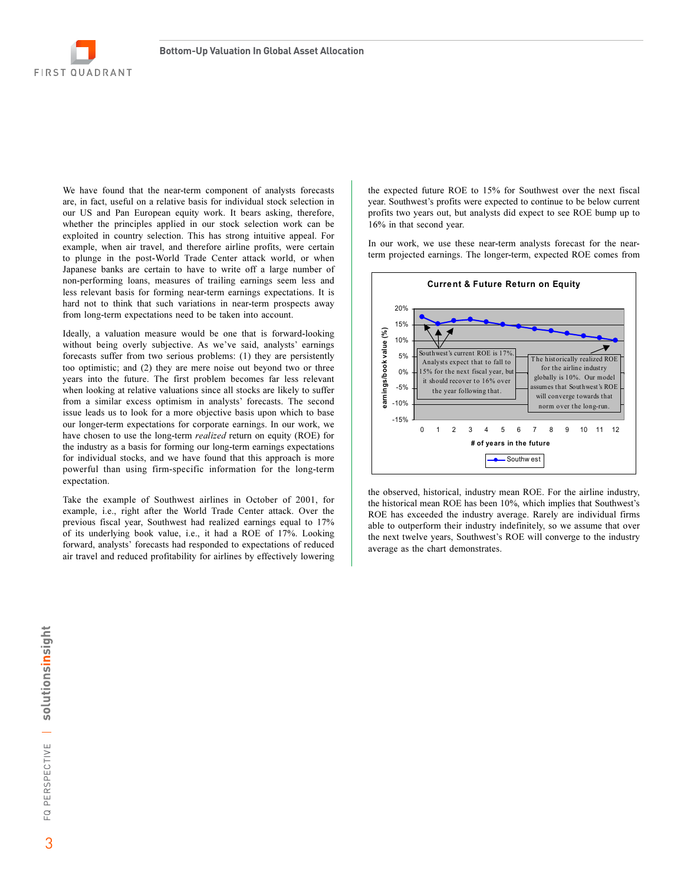

We have found that the near-term component of analysts forecasts are, in fact, useful on a relative basis for individual stock selection in our US and Pan European equity work. It bears asking, therefore, whether the principles applied in our stock selection work can be exploited in country selection. This has strong intuitive appeal. For example, when air travel, and therefore airline profits, were certain to plunge in the post-World Trade Center attack world, or when Japanese banks are certain to have to write off a large number of non-performing loans, measures of trailing earnings seem less and less relevant basis for forming near-term earnings expectations. It is hard not to think that such variations in near-term prospects away from long-term expectations need to be taken into account.

Ideally, a valuation measure would be one that is forward-looking without being overly subjective. As we've said, analysts' earnings forecasts suffer from two serious problems: (1) they are persistently too optimistic; and (2) they are mere noise out beyond two or three years into the future. The first problem becomes far less relevant when looking at relative valuations since all stocks are likely to suffer from a similar excess optimism in analysts' forecasts. The second issue leads us to look for a more objective basis upon which to base our longer-term expectations for corporate earnings. In our work, we have chosen to use the long-term *realized* return on equity (ROE) for the industry as a basis for forming our long-term earnings expectations for individual stocks, and we have found that this approach is more powerful than using firm-specific information for the long-term expectation.

Take the example of Southwest airlines in October of 2001, for example, i.e., right after the World Trade Center attack. Over the previous fiscal year, Southwest had realized earnings equal to 17% of its underlying book value, i.e., it had a ROE of 17%. Looking forward, analysts' forecasts had responded to expectations of reduced air travel and reduced profitability for airlines by effectively lowering

the expected future ROE to 15% for Southwest over the next fiscal year. Southwest's profits were expected to continue to be below current profits two years out, but analysts did expect to see ROE bump up to 16% in that second year.

In our work, we use these near-term analysts forecast for the nearterm projected earnings. The longer-term, expected ROE comes from



the observed, historical, industry mean ROE. For the airline industry, the historical mean ROE has been 10%, which implies that Southwest's ROE has exceeded the industry average. Rarely are individual firms able to outperform their industry indefinitely, so we assume that over the next twelve years, Southwest's ROE will converge to the industry average as the chart demonstrates.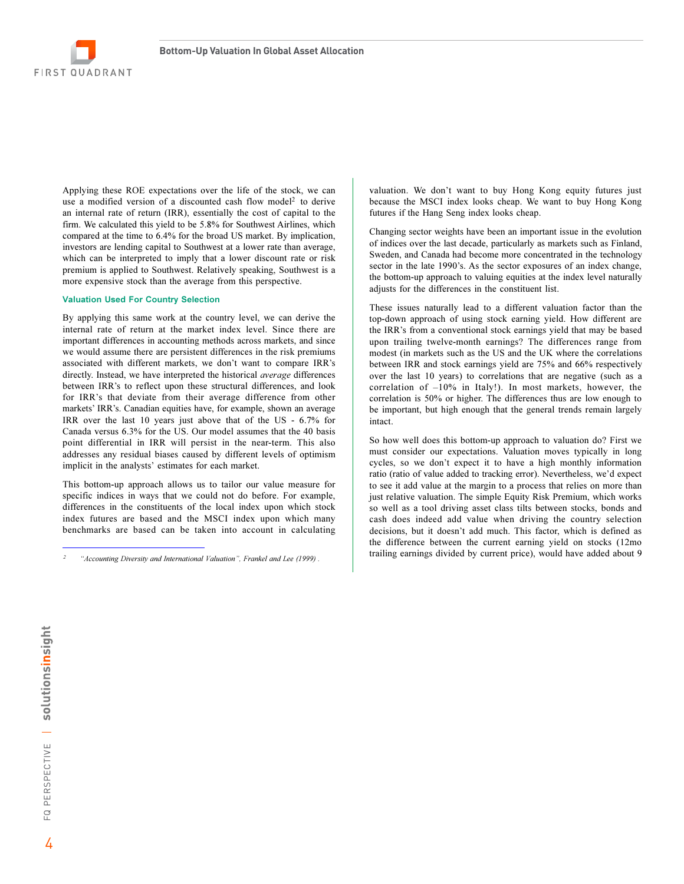

Applying these ROE expectations over the life of the stock, we can use a modified version of a discounted cash flow model<sup>2</sup> to derive an internal rate of return (IRR), essentially the cost of capital to the firm. We calculated this yield to be 5.8% for Southwest Airlines, which compared at the time to 6.4% for the broad US market. By implication, investors are lending capital to Southwest at a lower rate than average, which can be interpreted to imply that a lower discount rate or risk premium is applied to Southwest. Relatively speaking, Southwest is a more expensive stock than the average from this perspective.

#### **Valuation Used For Country Selection**

By applying this same work at the country level, we can derive the internal rate of return at the market index level. Since there are important differences in accounting methods across markets, and since we would assume there are persistent differences in the risk premiums associated with different markets, we don't want to compare IRR's directly. Instead, we have interpreted the historical *average* differences between IRR's to reflect upon these structural differences, and look for IRR's that deviate from their average difference from other markets' IRR's. Canadian equities have, for example, shown an average IRR over the last 10 years just above that of the US - 6.7% for Canada versus 6.3% for the US. Our model assumes that the 40 basis point differential in IRR will persist in the near-term. This also addresses any residual biases caused by different levels of optimism implicit in the analysts' estimates for each market.

This bottom-up approach allows us to tailor our value measure for specific indices in ways that we could not do before. For example, differences in the constituents of the local index upon which stock index futures are based and the MSCI index upon which many benchmarks are based can be taken into account in calculating valuation. We don't want to buy Hong Kong equity futures just because the MSCI index looks cheap. We want to buy Hong Kong futures if the Hang Seng index looks cheap.

Changing sector weights have been an important issue in the evolution of indices over the last decade, particularly as markets such as Finland, Sweden, and Canada had become more concentrated in the technology sector in the late 1990's. As the sector exposures of an index change, the bottom-up approach to valuing equities at the index level naturally adjusts for the differences in the constituent list.

These issues naturally lead to a different valuation factor than the top-down approach of using stock earning yield. How different are the IRR's from a conventional stock earnings yield that may be based upon trailing twelve-month earnings? The differences range from modest (in markets such as the US and the UK where the correlations between IRR and stock earnings yield are 75% and 66% respectively over the last 10 years) to correlations that are negative (such as a correlation of  $-10\%$  in Italy!). In most markets, however, the correlation is 50% or higher. The differences thus are low enough to be important, but high enough that the general trends remain largely intact.

So how well does this bottom-up approach to valuation do? First we must consider our expectations. Valuation moves typically in long cycles, so we don't expect it to have a high monthly information ratio (ratio of value added to tracking error). Nevertheless, we'd expect to see it add value at the margin to a process that relies on more than just relative valuation. The simple Equity Risk Premium, which works so well as a tool driving asset class tilts between stocks, bonds and cash does indeed add value when driving the country selection decisions, but it doesn't add much. This factor, which is defined as the difference between the current earning yield on stocks (12mo trailing earnings divided by current price), would have added about 9

<sup>&</sup>quot;Accounting Diversity and International Valuation", Frankel and Lee (1999).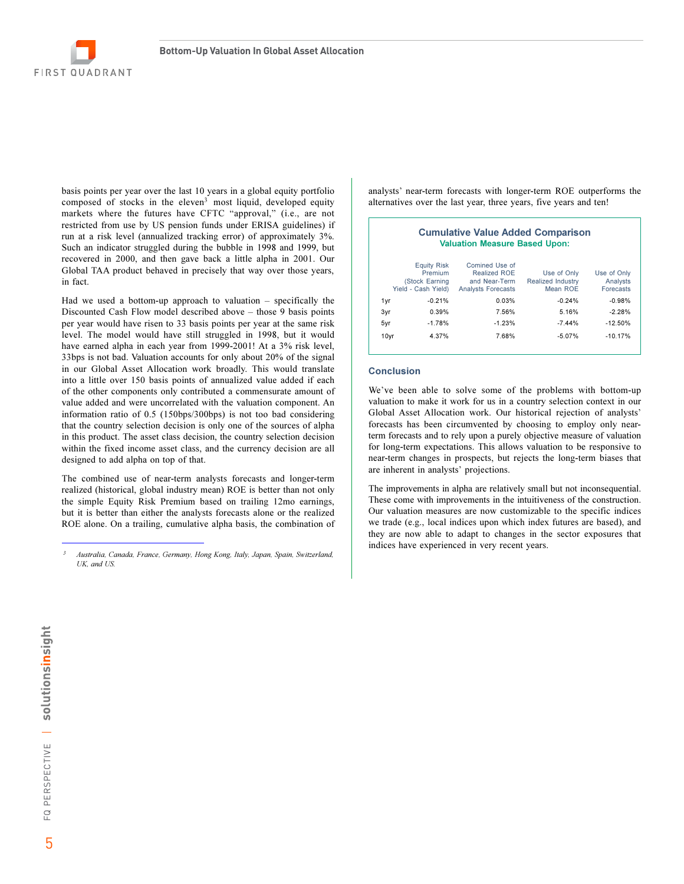

basis points per year over the last 10 years in a global equity portfolio composed of stocks in the eleven<sup>3</sup> most liquid, developed equity markets where the futures have CFTC "approval," (i.e., are not restricted from use by US pension funds under ERISA guidelines) if run at a risk level (annualized tracking error) of approximately 3%. Such an indicator struggled during the bubble in 1998 and 1999, but recovered in 2000, and then gave back a little alpha in 2001. Our Global TAA product behaved in precisely that way over those years, in fact.

Had we used a bottom-up approach to valuation  $-$  specifically the Discounted Cash Flow model described above - those 9 basis points per year would have risen to 33 basis points per year at the same risk level. The model would have still struggled in 1998, but it would have earned alpha in each year from 1999-2001! At a 3% risk level, 33bps is not bad. Valuation accounts for only about 20% of the signal in our Global Asset Allocation work broadly. This would translate into a little over 150 basis points of annualized value added if each of the other components only contributed a commensurate amount of value added and were uncorrelated with the valuation component. An information ratio of 0.5 (150bps/300bps) is not too bad considering that the country selection decision is only one of the sources of alpha in this product. The asset class decision, the country selection decision within the fixed income asset class, and the currency decision are all designed to add alpha on top of that.

The combined use of near-term analysts forecasts and longer-term realized (historical, global industry mean) ROE is better than not only the simple Equity Risk Premium based on trailing 12mo earnings, but it is better than either the analysts forecasts alone or the realized ROE alone. On a trailing, cumulative alpha basis, the combination of

analysts' near-term forecasts with longer-term ROE outperforms the alternatives over the last year, three years, five years and ten!

### **Cumulative Value Added Comparison Valuation Measure Based Upon:**

| <b>Equity Risk</b><br>Premium<br>(Stock Earning<br>Yield - Cash Yield) |          | Comined Use of<br>Realized ROE<br>and Near-Term<br><b>Analysts Forecasts</b> | Use of Only<br><b>Realized Industry</b><br>Mean ROE | Use of Only<br>Analysts<br>Forecasts |
|------------------------------------------------------------------------|----------|------------------------------------------------------------------------------|-----------------------------------------------------|--------------------------------------|
| 1yr                                                                    | $-0.21%$ | 0.03%                                                                        | $-0.24%$                                            | $-0.98%$                             |
| 3yr                                                                    | 0.39%    | 7.56%                                                                        | 5.16%                                               | $-2.28%$                             |
| 5yr                                                                    | $-1.78%$ | $-1.23%$                                                                     | $-7.44%$                                            | $-12.50%$                            |
| 10yr                                                                   | 4.37%    | 7.68%                                                                        | $-5.07%$                                            | $-10.17%$                            |

#### **Conclusion**

We've been able to solve some of the problems with bottom-up valuation to make it work for us in a country selection context in our Global Asset Allocation work. Our historical rejection of analysts' forecasts has been circumvented by choosing to employ only nearterm forecasts and to rely upon a purely objective measure of valuation for long-term expectations. This allows valuation to be responsive to near-term changes in prospects, but rejects the long-term biases that are inherent in analysts' projections.

The improvements in alpha are relatively small but not inconsequential. These come with improvements in the intuitiveness of the construction. Our valuation measures are now customizable to the specific indices we trade (e.g., local indices upon which index futures are based), and they are now able to adapt to changes in the sector exposures that indices have experienced in very recent years.

Australia, Canada, France, Germany, Hong Kong, Italy, Japan, Spain, Switzerland,  $I/K$  and  $I/S$